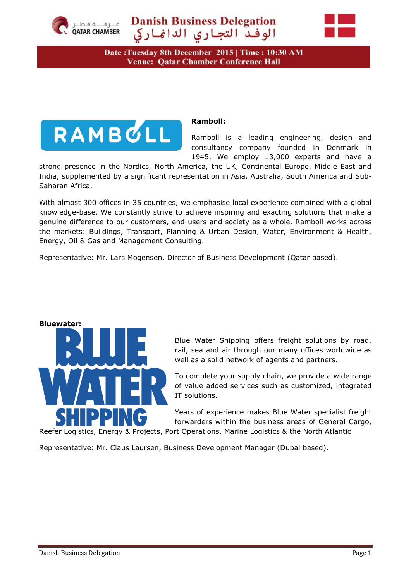

**Danish Business Delegation** الوفد التجارى الدائماركي



Date: Tuesday 8th December 2015 | Time: 10:30 AM **Venue: Qatar Chamber Conference Hall** 



### **Ramboll:**

Ramboll is a leading engineering, design and consultancy company founded in Denmark in 1945. We employ 13,000 experts and have a

strong presence in the Nordics, North America, the UK, Continental Europe, Middle East and India, supplemented by a significant representation in Asia, Australia, South America and Sub-Saharan Africa.

With almost 300 offices in 35 countries, we emphasise local experience combined with a global knowledge-base. We constantly strive to achieve inspiring and exacting solutions that make a genuine difference to our customers, end-users and society as a whole. Ramboll works across the markets: Buildings, Transport, Planning & Urban Design, Water, Environment & Health, Energy, Oil & Gas and Management Consulting.

Representative: Mr. Lars Mogensen, Director of Business Development (Qatar based).



Blue Water Shipping offers freight solutions by road, rail, sea and air through our many offices worldwide as well as a solid network of agents and partners.

To complete your supply chain, we provide a wide range of value added services such as customized, integrated IT solutions.

Years of experience makes Blue Water specialist freight forwarders within the business areas of General Cargo,

Reefer Logistics, Energy & Projects, Port Operations, Marine Logistics & the North Atlantic

Representative: Mr. Claus Laursen, Business Development Manager (Dubai based).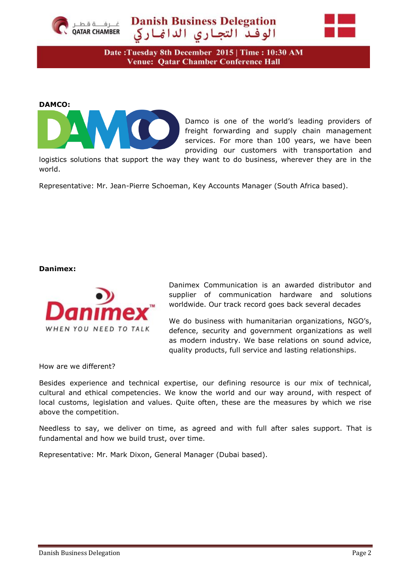

# **Danish Business Delegation** الوفدّ التجاري الدانماركي



Date: Tuesday 8th December 2015 | Time: 10:30 AM **Venue: Qatar Chamber Conference Hall** 

#### **DAMCO:**



Damco is one of the world's leading providers of freight forwarding and supply chain management services. For more than 100 years, we have been providing our customers with transportation and

logistics solutions that support the way they want to do business, wherever they are in the world.

Representative: Mr. Jean-Pierre Schoeman, Key Accounts Manager (South Africa based).

#### **Danimex:**



Danimex Communication is an awarded distributor and supplier of communication hardware and solutions worldwide. Our track record goes back several decades

We do business with humanitarian organizations, NGO's, defence, security and government organizations as well as modern industry. We base relations on sound advice, quality products, full service and lasting relationships.

How are we different?

Besides experience and technical expertise, our defining resource is our mix of technical, cultural and ethical competencies. We know the world and our way around, with respect of local customs, legislation and values. Quite often, these are the measures by which we rise above the competition.

Needless to say, we deliver on time, as agreed and with full after sales support. That is fundamental and how we build trust, over time.

Representative: Mr. Mark Dixon, General Manager (Dubai based).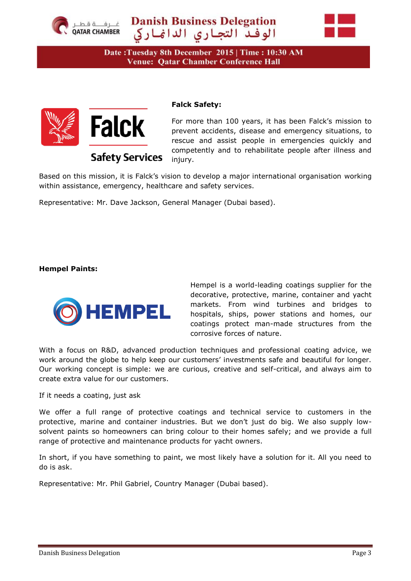



Date: Tuesday 8th December 2015 | Time: 10:30 AM **Venue: Qatar Chamber Conference Hall** 



## **Falck Safety:**

For more than 100 years, it has been Falck's mission to prevent accidents, disease and emergency situations, to rescue and assist people in emergencies quickly and competently and to rehabilitate people after illness and injury.

Based on this mission, it is Falck's vision to develop a major international organisation working within assistance, emergency, healthcare and safety services.

Representative: Mr. Dave Jackson, General Manager (Dubai based).

**Safety Services** 

### **Hempel Paints:**



Hempel is a world-leading coatings supplier for the decorative, protective, marine, container and yacht markets. From wind turbines and bridges to hospitals, ships, power stations and homes, our coatings protect man-made structures from the corrosive forces of nature.

With a focus on R&D, advanced production techniques and professional coating advice, we work around the globe to help keep our customers' investments safe and beautiful for longer. Our working concept is simple: we are curious, creative and self-critical, and always aim to create extra value for our customers.

If it needs a coating, just ask

We offer a full range of protective coatings and technical service to customers in the protective, marine and container industries. But we don't just do big. We also supply lowsolvent paints so homeowners can bring colour to their homes safely; and we provide a full range of protective and maintenance products for yacht owners.

In short, if you have something to paint, we most likely have a solution for it. All you need to do is ask.

Representative: Mr. Phil Gabriel, Country Manager (Dubai based).